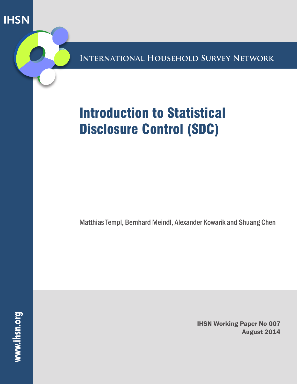**IHSN** 

**International Household Survey Network**

# Introduction to Statistical Disclosure Control (SDC)

Matthias Templ, Bernhard Meindl, Alexander Kowarik and Shuang Chen

**www.ihsn.org**

IHSN Working Paper No 007 August 2014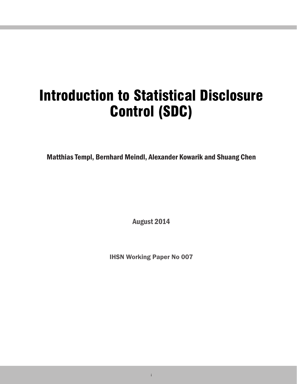# Introduction to Statistical Disclosure Control (SDC)

Matthias Templ, Bernhard Meindl, Alexander Kowarik and Shuang Chen

August 2014

IHSN Working Paper No 007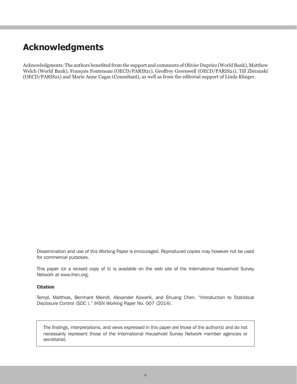# **Acknowledgments**

Acknowledgments: The authors benefited from the support and comments of Olivier Dupriez (World Bank), Matthew Welch (World Bank), François Fonteneau (OECD/PARIS21), Geoffrey Greenwell (OECD/PARIS21), Till Zbiranski (OECD/PARIS21) and Marie Anne Cagas (Consultant), as well as from the editorial support of Linda Klinger.

Dissemination and use of this Working Paper is encouraged. Reproduced copies may however not be used for commercial purposes.

This paper (or a revised copy of it) is available on the web site of the International Household Survey Network at www.ihsn.org.

#### **Citation**

Templ, Matthias, Bernhard Meindl, Alexander Kowarik, and Shuang Chen. "Introduction to Statistical Disclosure Control (SDC )." IHSN Working Paper No. 007 (2014).

The findings, interpretations, and views expressed in this paper are those of the author(s) and do not necessarily represent those of the International Household Survey Network member agencies or secretariat.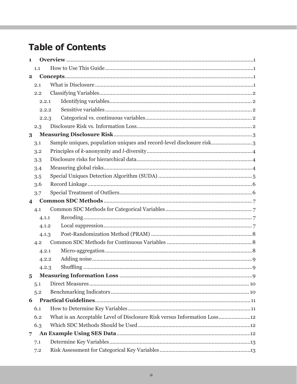# **Table of Contents**

| 1                       |       |                                                                          |
|-------------------------|-------|--------------------------------------------------------------------------|
|                         | 1.1   |                                                                          |
| $\overline{2}$          |       |                                                                          |
|                         | 2.1   |                                                                          |
|                         | 2.2   |                                                                          |
|                         | 2.2.1 |                                                                          |
|                         | 2.2.2 |                                                                          |
|                         | 2.2.3 |                                                                          |
|                         | 2.3   |                                                                          |
| 3                       |       |                                                                          |
|                         | 3.1   | Sample uniques, population uniques and record-level disclosure risk 3    |
|                         | 3.2   |                                                                          |
|                         | 3.3   |                                                                          |
|                         | 3.4   |                                                                          |
|                         | 3.5   |                                                                          |
|                         | 3.6   |                                                                          |
|                         | 3.7   |                                                                          |
| $\overline{\mathbf{4}}$ |       |                                                                          |
|                         | 4.1   |                                                                          |
|                         | 4.1.1 |                                                                          |
|                         | 4.1.2 |                                                                          |
|                         | 4.1.3 |                                                                          |
|                         | 4.2   |                                                                          |
|                         | 4.2.1 |                                                                          |
|                         | 4.2.2 |                                                                          |
|                         | 4.2.3 |                                                                          |
| $\overline{5}$          |       |                                                                          |
|                         | 5.1   |                                                                          |
|                         | 5.2   |                                                                          |
| 6                       |       |                                                                          |
|                         | 6.1   |                                                                          |
|                         | 6.2   | What is an Acceptable Level of Disclosure Risk versus Information Loss12 |
|                         | 6.3   |                                                                          |
| $\overline{7}$          |       |                                                                          |
|                         | 7.1   |                                                                          |
|                         | 7.2   |                                                                          |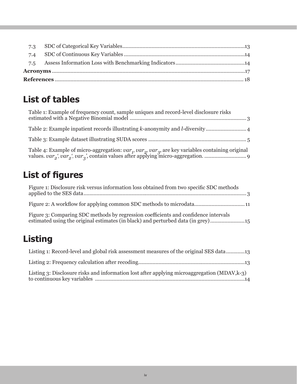# **List of tables**

| Table 1: Example of frequency count, sample uniques and record-level disclosure risks |
|---------------------------------------------------------------------------------------|
|                                                                                       |
|                                                                                       |
|                                                                                       |

# **List of figures**

| Figure 1: Disclosure risk versus information loss obtained from two specific SDC methods                                                                                |  |
|-------------------------------------------------------------------------------------------------------------------------------------------------------------------------|--|
|                                                                                                                                                                         |  |
| Figure 3: Comparing SDC methods by regression coefficients and confidence intervals<br>estimated using the original estimates (in black) and perturbed data (in grey)15 |  |

# **Listing**

| Listing 1: Record-level and global risk assessment measures of the original SES data13      |
|---------------------------------------------------------------------------------------------|
|                                                                                             |
| Listing 3: Disclosure risks and information lost after applying microaggregation (MDAV,k-3) |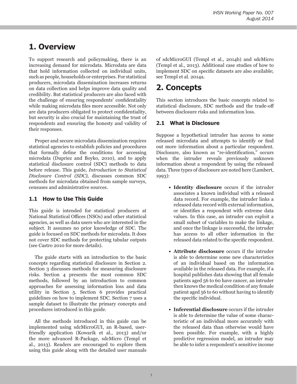# **1. Overview**

To support research and policymaking, there is an increasing demand for microdata. Microdata are data that hold information collected on individual units, such as people, households or enterprises. For statistical producers, microdata dissemination increases returns on data collection and helps improve data quality and credibility. But statistical producers are also faced with the challenge of ensuring respondents' confidentiality while making microdata files more accessible. Not only are data producers obligated to protect confidentiality, but security is also crucial for maintaining the trust of respondents and ensuring the honesty and validity of their responses.

Proper and secure microdata dissemination requires statistical agencies to establish policies and procedures that formally define the conditions for accessing microdata (Dupriez and Boyko, 2010), and to apply statistical disclosure control (SDC) methods to data before release. This guide, *Introduction to Statistical Disclosure Control (SDC)*, discusses common SDC methods for microdata obtained from sample surveys, censuses and administrative sources.

#### **1.1 How to Use This Guide**

This guide is intended for statistical producers at National Statistical Offices (NSOs) and other statistical agencies, as well as data users who are interested in the subject. It assumes no prior knowledge of SDC. The guide is focused on SDC methods for microdata. It does not cover SDC methods for protecting tabular outputs (see Castro 2010 for more details).

The guide starts with an introduction to the basic concepts regarding statistical disclosure in Section 2. Section 3 discusses methods for measuring disclosure risks. Section 4 presents the most common SDC methods, followed by an introduction to common approaches for assessing information loss and data utility in Section 5. Section 6 provides practical guidelines on how to implement SDC. Section 7 uses a sample dataset to illustrate the primary concepts and procedures introduced in this guide.

All the methods introduced in this guide can be implemented using sdcMicroGUI, an R-based, userfriendly application (Kowarik et al., 2013) and/or the more advanced R-Package, sdcMicro (Templ et al., 2013). Readers are encouraged to explore them using this guide along with the detailed user manuals of sdcMicroGUI (Templ et al., 2014b) and sdcMicro (Templ et al., 2013). Additional case studies of how to implement SDC on specific datasets are also available; see Templ et al. 2014a.

## **2. Concepts**

This section introduces the basic concepts related to statistical disclosure, SDC methods and the trade-off between disclosure risks and information loss.

#### **2.1 What is Disclosure**

Suppose a hypothetical intruder has access to some released microdata and attempts to identify or find out more information about a particular respondent. Disclosure, also known as "re-identification," occurs when the intruder reveals previously unknown information about a respondent by using the released data. Three types of disclosure are noted here (Lambert, 1993):

- **• Identity disclosure** occurs if the intruder associates a known individual with a released data record. For example, the intruder links a released data record with external information, or identifies a respondent with extreme data values. In this case, an intruder can exploit a small subset of variables to make the linkage, and once the linkage is successful, the intruder has access to all other information in the released data related to the specific respondent.
- **• Attribute disclosure** occurs if the intruder is able to determine some new characteristics of an individual based on the information available in the released data. For example, if a hospital publishes data showing that all female patients aged 56 to 60 have cancer, an intruder then knows the medical condition of any female patient aged 56 to 60 without having to identify the specific individual.
- **• Inferential disclosure** occurs if the intruder is able to determine the value of some characteristic of an individual more accurately with the released data than otherwise would have been possible. For example, with a highly predictive regression model, an intruder may be able to infer a respondent's sensitive income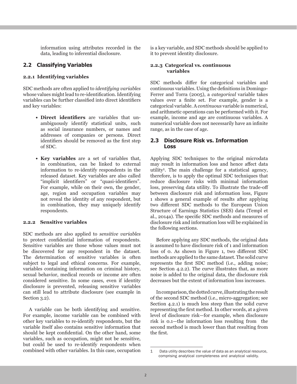information using attributes recorded in the data, leading to inferential disclosure.

#### **2.2 Classifying Variables**

#### **2.2.1 Identifying variables**

SDC methods are often applied to *identifying variables* whose values might lead to re-identification. Identifying variables can be further classified into direct identifiers and key variables:

- **• Direct identifiers** are variables that unambiguously identify statistical units, such as social insurance numbers, or names and addresses of companies or persons. Direct identifiers should be removed as the first step of SDC.
- **• Key variables** are a set of variables that, in combination, can be linked to external information to re-identify respondents in the released dataset. Key variables are also called "implicit identifiers" or "quasi-identifiers". For example, while on their own, the gender, age, region and occupation variables may not reveal the identity of any respondent, but in combination, they may uniquely identify respondents.

#### **2.2.2 Sensitive variables**

SDC methods are also applied to *sensitive variables* to protect confidential information of respondents. Sensitive variables are those whose values must not be discovered for any respondent in the dataset. The determination of sensitive variables is often subject to legal and ethical concerns. For example, variables containing information on criminal history, sexual behavior, medical records or income are often considered sensitive. In some cases, even if identity disclosure is prevented, releasing sensitive variables can still lead to attribute disclosure (see example in Section 3.2).

A variable can be both identifying and sensitive. For example, income variable can be combined with other key variables to re-identify respondents, but the variable itself also contains sensitive information that should be kept confidential. On the other hand, some variables, such as occupation, might not be sensitive, but could be used to re-identify respondents when combined with other variables. In this case, occupation is a key variable, and SDC methods should be applied to it to prevent identity disclosure.

#### **2.2.3 Categorical vs. continuous variables**

SDC methods differ for categorical variables and continuous variables. Using the definitions in Domingo-Ferrer and Torra (2005), a *categorical* variable takes values over a finite set. For example, gender is a categorical variable. A *continuous* variable is numerical, and arithmetic operations can be performed with it. For example, income and age are continuous variables. A numerical variable does not necessarily have an infinite range, as in the case of age.

#### **2.3 Disclosure Risk vs. Information Loss**

Applying SDC techniques to the original microdata may result in information loss and hence affect data utility1. The main challenge for a statistical agency, therefore, is to apply the optimal SDC techniques that reduce disclosure risks with minimal information loss, preserving data utility. To illustrate the trade-off between disclosure risk and information loss, Figure 1 shows a general example of results after applying two different SDC methods to the European Union Structure of Earnings Statistics (SES) data (Templ et al., 2014a). The specific SDC methods and measures of disclosure risk and information loss will be explained in the following sections.

Before applying any SDC methods, the original data is assumed to have disclosure risk of 1 and information loss of 0. As shown in Figure 1, two different SDC methods are applied to the same dataset. The solid curve represents the first SDC method (i.e., adding noise; see Section 4.2.2). The curve illustrates that, as more noise is added to the original data, the disclosure risk decreases but the extent of information loss increases.

In comparison, the dotted curve, illustrating the result of the second SDC method (i.e., micro-aggregation; see Section 4.2.1) is much less steep than the solid curve representing the first method. In other words, at a given level of disclosure risk—for example, when disclosure risk is 0.1—the information loss resulting from the second method is much lower than that resulting from the first.

<sup>1</sup> Data utility describes the value of data as an analytical resource, comprising analytical completeness and analytical validity.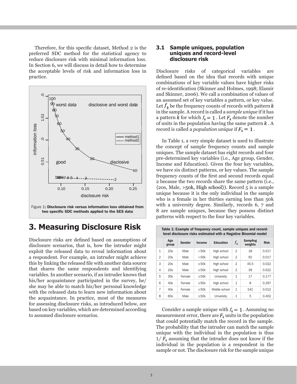Therefore, for this specific dataset, Method 2 is the preferred SDC method for the statistical agency to reduce disclosure risk with minimal information loss. In Section 6, we will discuss in detail how to determine the acceptable levels of risk and information loss in practice.



### **3. Measuring Disclosure Risk**

Disclosure risks are defined based on assumptions of disclosure scenarios, that is, how the intruder might exploit the released data to reveal information about a respondent. For example, an intruder might achieve this by linking the released file with another data source that shares the same respondents and identifying variables. In another scenario, if an intruder knows that his/her acquaintance participated in the survey, he/ she may be able to match his/her personal knowledge with the released data to learn new information about the acquaintance. In practice, most of the measures for assessing disclosure risks, as introduced below, are based on key variables, which are determined according to assumed disclosure scenarios.

#### **3.1 Sample uniques, population uniques and record-level disclosure risk**

Disclosure risks of categorical variables are defined based on the idea that records with unique combinations of key variable values have higher risks of re-identification (Skinner and Holmes, 1998; Elamir and Skinner, 2006). We call a combination of values of an assumed set of key variables a pattern, or key value. Let  $f_k$  be the frequency counts of records with pattern  $k$ in the sample. A record is called a *sample unique* if it has a pattern k for which  $f_k = 1$ . Let  $F_k$  denote the number of units in the population having the same pattern  $k$ . A record is called a *population unique* if  $F_k = 1$ .

In Table 1, a very simple dataset is used to illustrate the concept of sample frequency counts and sample uniques. The sample dataset has eight records and four pre-determined key variables (i.e., Age group, Gender, Income and Education). Given the four key variables, we have six distinct patterns, or key values. The sample frequency counts of the first and second records equal 2 because the two records share the same pattern (i.e.,  ${20s, Male, >50k, High school}$ . Record 5 is a sample unique because it is the only individual in the sample who is a female in her thirties earning less than 50k with a university degree. Similarly, records 6, 7 and 8 are sample uniques, because they possess distinct patterns with respect to the four key variables.

|                | Table 1: Example of frequency count, sample uniques and record-<br>level disclosure risks estimated with a Negative Binomial model |        |                            |               |                |      |       |  |  |
|----------------|------------------------------------------------------------------------------------------------------------------------------------|--------|----------------------------|---------------|----------------|------|-------|--|--|
|                | Age<br>group                                                                                                                       | $f_k$  | <b>Sampling</b><br>weights | <b>Risk</b>   |                |      |       |  |  |
| $\mathbf{1}$   | 20s                                                                                                                                | Male   | >50k                       | High school   | $\mathfrak{D}$ | 18   | 0.017 |  |  |
| $\overline{2}$ | 20s                                                                                                                                | Male   | >50k                       | High school   | $\mathfrak{D}$ | 92   | 0.017 |  |  |
| 3              | 20s                                                                                                                                | Male   | $\leq$ 50 $k$              | High school   | 2              | 45.5 | 0.022 |  |  |
| 4              | 20s                                                                                                                                | Male   | ≤50 $k$                    | High school   | $\overline{2}$ | 39   | 0.022 |  |  |
| 5              | 30s                                                                                                                                | Female | $\leq$ 50 $k$              | University    | $\mathbf{1}$   | 17   | 0.177 |  |  |
| 6              | 40s                                                                                                                                | Female | $\leq$ 50 $k$              | High school   | $\mathbf{1}$   | 8    | 0.297 |  |  |
| $\overline{7}$ | 40s                                                                                                                                | Female | $\leq$ 50 $k$              | Middle school | $\mathbf{1}$   | 541  | 0.012 |  |  |
| 8              | 60s                                                                                                                                | Male   | $\leq$ 50 $k$              | University    | $\mathbf{1}$   | 5    | 0.402 |  |  |

Consider a sample unique with  $f_k = 1$ . Assuming no measurement error, there are  $F_k$  units in the population that could potentially match the record in the sample. The probability that the intruder can match the sample unique with the individual in the population is thus  $1/F_k$  assuming that the intruder does not know if the individual in the population is a respondent in the sample or not. The disclosure risk for the sample unique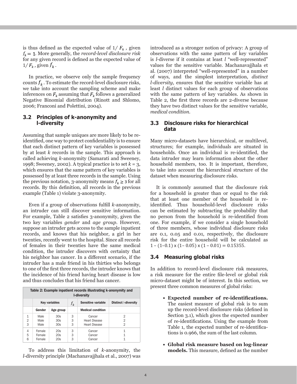is thus defined as the expected value of  $1/F_k$ , given  $f_k = 1$ . More generally, the *record-level disclosure risk* for any given record is defined as the expected value of  $1/F_k$ , given  $f_k$ .

In practice, we observe only the sample frequency counts  $f_k$ . To estimate the record-level disclosure risks, we take into account the sampling scheme and make inferences on  $F_k$  assuming that  $F_k$  follows a generalized Negative Binomial distribution (Rinott and Shlomo, 2006; Franconi and Polettini, 2004).

#### **3.2 Principles of k-anonymity and l-diversity**

Assuming that sample uniques are more likely to be reidentified, one way to protect confidentiality is to ensure that each distinct pattern of key variables is possessed by at least *k* records in the sample. This approach is called achieving *k*-anonymity (Samarati and Sweeney, 1998; Sweeney, 2002). A typical practice is to set *k* = 3, which ensures that the same pattern of key variables is possessed by at least three records in the sample. Using the previous notation, 3-anonymity means  $f_k \geq 3$  for all records. By this definition, all records in the previous example (Table 1) violate 3-anonymity.

Even if a group of observations fulfill *k*-anonymity, an intruder can still discover sensitive information. For example, Table 2 satisfies 3-anonymity, given the two key variables *gender* and *age group*. However, suppose an intruder gets access to the sample inpatient records, and knows that his neighbor, a girl in her twenties, recently went to the hospital. Since all records of females in their twenties have the same medical condition, the intruder discovers with certainty that his neighbor has cancer. In a different scenario, if the intruder has a male friend in his thirties who belongs to one of the first three records, the intruder knows that the incidence of his friend having heart disease is low and thus concludes that his friend has cancer.

| Table 2: Example inpatient records illustrating k-anonymity and<br>I-diversity |                     |                      |                             |                          |   |  |  |
|--------------------------------------------------------------------------------|---------------------|----------------------|-----------------------------|--------------------------|---|--|--|
|                                                                                |                     | <b>Key variables</b> | <b>Distinct I-diversity</b> |                          |   |  |  |
|                                                                                | Gender<br>Age group |                      |                             | <b>Medical condition</b> |   |  |  |
| 1                                                                              | Male                | 30s                  | 3                           | Cancer                   | 2 |  |  |
| $\overline{2}$                                                                 | Male                | 30s                  | 3                           | <b>Heart Disease</b>     | 2 |  |  |
| 3                                                                              | Male                | 30s                  | 3                           | <b>Heart Disease</b>     | 2 |  |  |
| 4                                                                              | Female              | 20s                  | 3                           | Cancer                   | 1 |  |  |
| 5                                                                              | Female              | 20s                  | 3                           | Cancer                   |   |  |  |
| 6                                                                              | Female              | 20s                  | 3                           | Cancer                   |   |  |  |

To address this limitation of *k*-anonymity, the *l*-diversity principle (Machanavajjhala et al., 2007) was introduced as a stronger notion of privacy: A group of observations with the same pattern of key variables is *l*-diverse if it contains at least *l* "well-represented" values for the sensitive variable. Machanavajjhala et al. (2007) interpreted "well-represented" in a number of ways, and the simplest interpretation, *distinct l-diversity*, ensures that the sensitive variable has at least *l* distinct values for each group of observations with the same pattern of key variables. As shown in Table 2, the first three records are 2-diverse because they have two distinct values for the sensitive variable, *medical condition*.

#### **3.3 Disclosure risks for hierarchical data**

Many micro-datasets have hierarchical, or multilevel, structures; for example, individuals are situated in households. Once an individual is re-identified, the data intruder may learn information about the other household members, too. It is important, therefore, to take into account the hierarchical structure of the dataset when measuring disclosure risks.

It is commonly assumed that the disclosure risk for a household is greater than or equal to the risk that at least one member of the household is reidentified. Thus household-level disclosure risks can be estimated by subtracting the probability that no person from the household is re-identified from one. For example, if we consider a single household of three members, whose individual disclosure risks are 0.1, 0.05 and 0.01, respectively, the disclosure risk for the entire household will be calculated as  $1 - (1 - 0.1) \times (1 - 0.05) \times (1 - 0.01) = 0.15355$ .

#### **3.4 Measuring global risks**

In addition to record-level disclosure risk measures, a risk measure for the entire file-level or global risk micro-dataset might be of interest. In this section, we present three common measures of global risks:

- **• Expected number of re-identifications.** The easiest measure of global risk is to sum up the record-level disclosure risks (defined in Section 3.1), which gives the expected number of re-identifications. Using the example from Table 1, the expected number of re-identifications is 0.966, the sum of the last column.
- **• Global risk measure based on log-linear models.** This measure, defined as the number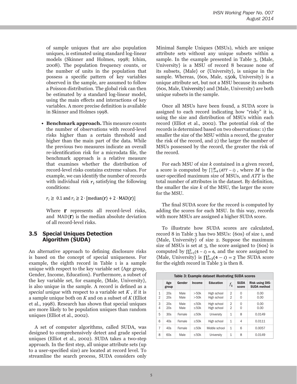of sample uniques that are also population uniques, is estimated using standard log-linear models (Skinner and Holmes, 1998; Ichim, 2008). The population frequency counts, or the number of units in the population that possess a specific pattern of key variables observed in the sample, are assumed to follow a Poisson distribution. The global risk can then be estimated by a standard log-linear model, using the main effects and interactions of key variables. A more precise definition is available in Skinner and Holmes 1998.

**• Benchmark approach.** This measure counts the number of observations with record-level risks higher than a certain threshold and higher than the main part of the data. While the previous two measures indicate an overall re-identification risk for a microdata file, the benchmark approach is a relative measure that examines whether the distribution of record-level risks contains extreme values. For example, we can identify the number of records with individual risk  $r_i$  satisfying the following conditions:

 $r_i \geq 0.1$  and  $r_i \geq 2$  [median(**r**) + 2 MAD(**r**)]

Where  $\bf{r}$  represents all record-level risks, and  $MAD(\mathbf{\Gamma})$  is the median absolute deviation of all record-level risks.

#### **3.5 Special Uniques Detection Algorithm (SUDA)**

An alternative approach to defining disclosure risks is based on the concept of special uniqueness. For example, the eighth record in Table 1 is a sample unique with respect to the key variable set {Age group, Gender, Income, Education}. Furthermore, a subset of the key variable set, for example, {Male, University}, is also unique in the sample. A record is defined as a *special unique* with respect to a variable set *K* , if it is a sample unique both on *K* and on a subset of *K* (Elliot et al., 1998). Research has shown that special uniques are more likely to be population uniques than random uniques (Elliot et al., 2002).

A set of computer algorithms, called SUDA, was designed to comprehensively detect and grade special uniques (Elliot et al., 2002). SUDA takes a two-step approach. In the first step, all unique attribute sets (up to a user-specified size) are located at record level. To streamline the search process, SUDA considers only Minimal Sample Uniques (MSUs), which are unique attribute sets without any unique subsets within a sample. In the example presented in Table 3, {Male, University} is a MSU of record 8 because none of its subsets, {Male} or {University}, is unique in the sample. Whereas,  $\{6os, Male, \leq 50k, University\}$  is a unique attribute set, but not a MSU because its subsets {60s, Male, University} and {Male, University} are both unique subsets in the sample.

Once all MSUs have been found, a SUDA score is assigned to each record indicating how "risky" it is, using the size and distribution of MSUs within each record (Elliot et al., 2002). The potential risk of the records is determined based on two observations: 1) the smaller the size of the MSU within a record, the greater the risk of the record, and 2) the larger the number of MSUs possessed by the record, the greater the risk of the record.

For each MSU of size *k* contained in a given record, a score is computed by  $\prod_{i=k}^{M} (ATT - i)$ , where *M* is the user-specified maximum size of MSUs, and *ATT* is the total number of attributes in the dataset. By definition, the smaller the size *k* of the MSU, the larger the score for the MSU.

The final SUDA score for the record is computed by adding the scores for each MSU. In this way, records with more MSUs are assigned a higher SUDA score.

To illustrate how SUDA scores are calculated, record 8 in Table 3 has two MSUs: {60s} of size 1, and {Male, University} of size 2. Suppose the maximum size of MSUs is set at 3, the score assigned to {60s} is computed by  $\prod_{i=1}^{3} (4-i) = 6$ , and the score assigned to {Male, University} is  $\prod_{i=2}^{3} (4 - i) = 2$  The SUDA score for the eighth record in Table 3 is then 8.

|                                | Table 3: Example dataset illustrating SUDA scores |              |                                |                            |                                  |                      |                                              |  |
|--------------------------------|---------------------------------------------------|--------------|--------------------------------|----------------------------|----------------------------------|----------------------|----------------------------------------------|--|
|                                | Age<br>group                                      | Gender       | <b>Income</b>                  | <b>Education</b>           | $f_k$                            | <b>SUDA</b><br>score | <b>Risk using DIS-</b><br><b>SUDA method</b> |  |
| $\mathbf{1}$<br>$\overline{2}$ | 20s<br>20s                                        | Male<br>Male | >50k<br>>50k                   | High school<br>High school | $\overline{2}$<br>$\overline{2}$ | $\Omega$<br>$\Omega$ | 0.00<br>0.00                                 |  |
| 3<br>$\overline{4}$            | 20s<br>20s                                        | Male<br>Male | $\leq$ 50 $k$<br>$\leq$ 50 $k$ | High school<br>High school | $\overline{2}$<br>$\overline{2}$ | $\Omega$<br>$\Omega$ | 0.00<br>0.00                                 |  |
| 5                              | 30s                                               | Female       | $\leq$ 50 $k$                  | University                 | $\mathbf{1}$                     | 8                    | 0.0149                                       |  |
| 6                              | 40s                                               | Female       | $\leq$ 50 $k$                  | High school                | $\mathbf{1}$                     | 4                    | 0.0111                                       |  |
| 7                              | 40s                                               | Female       | $\leq$ 50 $k$                  | Middle school              | $\mathbf{1}$                     | 6                    | 0.0057                                       |  |
| 8                              | 60s                                               | Male         | $\leq$ 50 $k$                  | University                 | $\mathbf{1}$                     | 8                    | 0.0149                                       |  |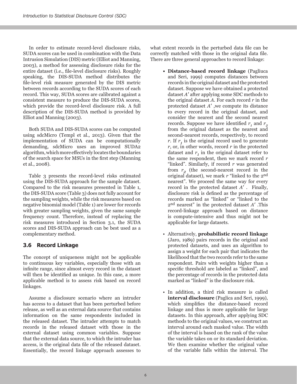In order to estimate record-level disclosure risks, SUDA scores can be used in combination with the Data Intrusion Simulation (DIS) metric (Elliot and Manning, 2003), a method for assessing disclosure risks for the entire dataset (i.e., file-level disclosure risks). Roughly speaking, the DIS-SUDA method distributes the file-level risk measure generated by the DIS metric between records according to the SUDA scores of each record. This way, SUDA scores are calibrated against a consistent measure to produce the DIS-SUDA scores, which provide the record-level disclosure risk. A full description of the DIS-SUDA method is provided by Elliot and Manning (2003).

Both SUDA and DIS-SUDA scores can be computed using sdcMicro (Templ et al., 2013). Given that the implementation of SUDA can be computationally demanding, sdcMicro uses an improved SUDA2 algorithm, which more effectively locates the boundaries of the search space for MSUs in the first step (Manning et al., 2008).

Table 3 presents the record-level risks estimated using the DIS-SUDA approach for the sample dataset. Compared to the risk measures presented in Table 1, the DIS-SUDA score (Table 3) does not fully account for the sampling weights, while the risk measures based on negative binomial model (Table 1) are lower for records with greater sampling weights, given the same sample frequency count. Therefore, instead of replacing the risk measures introduced in Section 3.1, the SUDA scores and DIS-SUDA approach can be best used as a complementary method.

#### **3.6 Record Linkage**

The concept of uniqueness might not be applicable to continuous key variables, especially those with an infinite range, since almost every record in the dataset will then be identified as unique. In this case, a more applicable method is to assess risk based on record linkages.

Assume a disclosure scenario where an intruder has access to a dataset that has been perturbed before release, as well as an external data source that contains information on the same respondents included in the released dataset. The intruder attempts to match records in the released dataset with those in the external dataset using common variables. Suppose that the external data source, to which the intruder has access, is the original data file of the released dataset. Essentially, the record linkage approach assesses to

what extent records in the perturbed data file can be correctly matched with those in the original data file. There are three general approaches to record linkage:

- **• Distance-based record linkage** (Pagliuca and Seri, 1999) computes distances between records in the original dataset and the protected dataset. Suppose we have obtained a protected dataset *A*' after applying some SDC methods to the original dataset *A*. For each record *r* in the protected dataset *A*' ,we compute its distance to every record in the original dataset, and consider the nearest and the second nearest records. Suppose we have identified  $r_1$  and  $r_2$ from the original dataset as the nearest and second-nearest records, respectively, to record *r*. If  $r<sub>1</sub>$  is the original record used to generate *r*, or, in other words, record *r* in the protected dataset and  $r<sub>1</sub>$  in the original dataset refer to the same respondent, then we mark record *r* "linked". Similarly, if record *r* was generated from  $r<sub>2</sub>$  (the second-nearest record in the original dataset), we mark *r* "linked to the 2nd nearest". We proceed the same way for every record in the protected dataset *A*' . Finally, disclosure risk is defined as the percentage of records marked as "linked" or "linked to the 2nd nearest" in the protected dataset *A*' .This record-linkage approach based on distance is compute-intensive and thus might not be applicable for large datasets.
- Alternatively, **probabilistic record linkage** (Jaro, 1989) pairs records in the original and protected datasets, and uses an algorithm to assign a weight for each pair that indicates the likelihood that the two records refer to the same respondent. Pairs with weights higher than a specific threshold are labeled as "linked", and the percentage of records in the protected data marked as "linked" is the disclosure risk.
- In addition, a third risk measure is called **interval disclosure** (Paglica and Seri, 1999), which simplifies the distance-based record linkage and thus is more applicable for large datasets. In this approach, after applying SDC methods to the original values, we construct an interval around each masked value. The width of the interval is based on the rank of the value the variable takes on or its standard deviation. We then examine whether the original value of the variable falls within the interval. The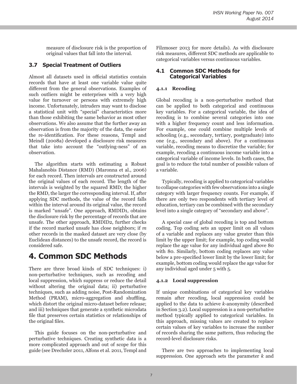measure of disclosure risk is the proportion of original values that fall into the interval.

#### **3.7 Special Treatment of Outliers**

Almost all datasets used in official statistics contain records that have at least one variable value quite different from the general observations. Examples of such outliers might be enterprises with a very high value for turnover or persons with extremely high income. Unfortunately, intruders may want to disclose a statistical unit with "special" characteristics more than those exhibiting the same behavior as most other observations. We also assume that the further away an observation is from the majority of the data, the easier the re-identification. For these reasons, Templ and Meindl (2008a) developed a disclosure risk measures that take into account the "outlying-ness" of an observation.

The algorithm starts with estimating a Robust Mahalanobis Distance (RMD) (Maronna et al., 2006) for each record. Then intervals are constructed around the original values of each record. The length of the intervals is weighted by the squared RMD; the higher the RMD, the larger the corresponding interval. If, after applying SDC methods, the value of the record falls within the interval around its original value, the record is marked "unsafe". One approach, RMDID1, obtains the disclosure risk by the percentage of records that are unsafe. The other approach, RMDID2, further checks if the record marked unsafe has close neighbors; if *m* other records in the masked dataset are very close (by Euclidean distances) to the unsafe record, the record is considered safe.

### **4. Common SDC Methods**

There are three broad kinds of SDC techniques: i) non-perturbative techniques, such as recoding and local suppression, which suppress or reduce the detail without altering the original data; ii) perturbative techniques, such as adding noise, Post-Randomization Method (PRAM), micro-aggregation and shuffling, which distort the original micro-dataset before release; and iii) techniques that generate a synthetic microdata file that preserves certain statistics or relationships of the original files.

This guide focuses on the non-perturbative and perturbative techniques. Creating synthetic data is a more complicated approach and out of scope for this guide (see Drechsler 2011, Alfons et al. 2011, Templ and Filzmoser 2013 for more details). As with disclosure risk measures, different SDC methods are applicable to categorical variables versus continuous variables.

#### **4.1 Common SDC Methods for Categorical Variables**

#### **4.1.1 Recoding**

Global recoding is a non-perturbative method that can be applied to both categorical and continuous key variables. For a categorical variable, the idea of recoding is to combine several categories into one with a higher frequency count and less information. For example, one could combine multiple levels of schooling (e.g., secondary, tertiary, postgraduate) into one (e.g., secondary and above). For a continuous variable, recoding means to discretize the variable; for example, recoding a continuous income variable into a categorical variable of income levels. In both cases, the goal is to reduce the total number of possible values of a variable.

Typically, recoding is applied to categorical variables to collapse categories with few observations into a single category with larger frequency counts. For example, if there are only two respondents with tertiary level of education, tertiary can be combined with the secondary level into a single category of "secondary and above".

A special case of global recoding is top and bottom coding. Top coding sets an upper limit on all values of a variable and replaces any value greater than this limit by the upper limit; for example, top coding would replace the age value for any individual aged above 80 with 80. Similarly, bottom coding replaces any value below a pre-specified lower limit by the lower limit; for example, bottom coding would replace the age value for any individual aged under 5 with 5.

#### **4.1.2 Local suppression**

If unique combinations of categorical key variables remain after recoding, local suppression could be applied to the data to achieve *k*-anonymity (described in Section 3.2). Local suppression is a non-perturbative method typically applied to categorical variables. In this approach, missing values are created to replace certain values of key variables to increase the number of records sharing the same pattern, thus reducing the record-level disclosure risks.

There are two approaches to implementing local suppression. One approach sets the parameter *k* and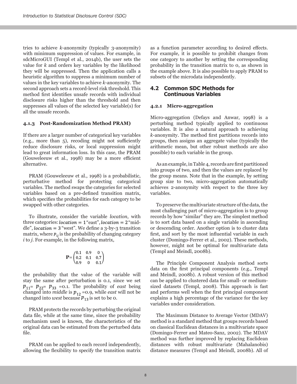tries to achieve *k*-anonymity (typically 3-anonymity) with minimum suppression of values. For example, in sdcMicroGUI (Templ et al., 2014b), the user sets the value for *k* and orders key variables by the likelihood they will be suppressed. Then the application calls a heuristic algorithm to suppress a minimum number of values in the key variables to achieve *k*-anonymity. The second approach sets a record-level risk threshold. This method first identifies unsafe records with individual disclosure risks higher than the threshold and then suppresses all values of the selected key variable(s) for all the unsafe records.

#### **4.1.3 Post-Randomization Method PRAM)**

If there are a larger number of categorical key variables (e.g., more than 5), recoding might not sufficiently reduce disclosure risks, or local suppression might lead to great information loss. In this case, the PRAM (Gouweleeuw et al., 1998) may be a more efficient alternative.

PRAM (Gouweleeuw et al., 1998) is a probabilistic, perturbative method for protecting categorical variables. The method swaps the categories for selected variables based on a pre-defined transition matrix, which specifies the probabilities for each category to be swapped with other categories.

To illustrate, consider the variable *location*, with three categories:  $location = 1$  "east",  $location = 2$  "middle",  $location = 3$  "west". We define a  $3$ -by- $3$  transition matrix, where  $p_{ij}$  is the probability of changing category *i* to *j*. For example, in the following matrix,

$$
\mathbf{P} = \begin{pmatrix} 0.1 & 0.9 & 0 \\ 0.2 & 0.1 & 0.7 \\ 0.9 & 0 & 0.1 \end{pmatrix}
$$

the probability that the value of the variable will stay the same after perturbation is 0.1, since we set  $p_{11} = p_{22} = p_{33} = 0.1$ . The probability of *east* being changed into *middle* is  $p_{12} = 0.9$ , while *east* will not be changed into *west* because  $p_{13}$  is set to be 0.

PRAM protects the records by perturbing the original data file, while at the same time, since the probability mechanism used is known, the characteristics of the original data can be estimated from the perturbed data file.

PRAM can be applied to each record independently, allowing the flexibility to specify the transition matrix as a function parameter according to desired effects. For example, it is possible to prohibit changes from one category to another by setting the corresponding probability in the transition matrix to 0, as shown in the example above. It is also possible to apply PRAM to subsets of the microdata independently.

#### **4.2 Common SDC Methods for Continuous Variables**

#### **4.2.1 Micro-aggregation**

Micro-aggregation (Defays and Anwar, 1998) is a perturbing method typically applied to continuous variables. It is also a natural approach to achieving *k-*anonymity. The method first partitions records into groups, then assigns an aggregate value (typically the arithmetic mean, but other robust methods are also possible) to each variable in the group.

As an example, in Table 4, records are first partitioned into groups of two, and then the values are replaced by the group means. Note that in the example, by setting group size to two, micro-aggregation automatically achieves 2-anonymity with respect to the three key variables.

To preserve the multivariate structure of the data, the most challenging part of micro-aggregation is to group records by how "similar" they are. The simplest method is to sort data based on a single variable in ascending or descending order. Another option is to cluster data first, and sort by the most influential variable in each cluster (Domingo-Ferrer et al., 2002). These methods, however, might not be optimal for multivariate data (Templ and Meindl, 2008b).

The Principle Component Analysis method sorts data on the first principal components (e.g., Templ and Meindl, 2008b). A robust version of this method can be applied to clustered data for small- or mediumsized datasets (Templ, 2008). This approach is fast and performs well when the first principal component explains a high percentage of the variance for the key variables under consideration.

The Maximum Distance to Average Vector (MDAV) method is a standard method that groups records based on classical Euclidean distances in a multivariate space (Domingo-Ferrer and Mateo-Sanz, 2002). The MDAV method was further improved by replacing Euclidean distances with robust multivariate (Mahalanobis) distance measures (Templ and Meindl, 2008b). All of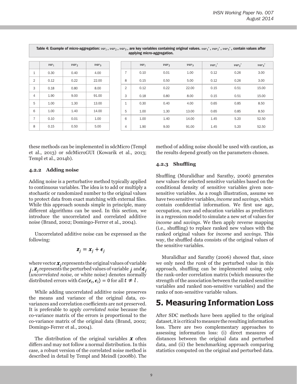|                | applying interactory aggregation. |         |         |  |                |         |         |         |          |          |          |
|----------------|-----------------------------------|---------|---------|--|----------------|---------|---------|---------|----------|----------|----------|
|                |                                   |         |         |  |                |         |         |         |          |          |          |
|                | $var_1$                           | $var_2$ | $var_3$ |  |                | $var_1$ | $var_2$ | $var_3$ | $var_1'$ | $var_2'$ | $var_3'$ |
| 1              | 0.30                              | 0.40    | 4.00    |  | $\overline{7}$ | 0.10    | 0.01    | 1.00    | 0.12     | 0.26     | 3.00     |
| 2              | 0.12                              | 0.22    | 22.00   |  | 8              | 0.15    | 0.50    | 5.00    | 0.12     | 0.26     | 3.00     |
| 3              | 0.18                              | 0.80    | 8.00    |  | 2              | 0.12    | 0.22    | 22.00   | 0.15     | 0.51     | 15.00    |
| $\overline{4}$ | 1.90                              | 9.00    | 91.00   |  | 3              | 0.18    | 0.80    | 8.00    | 0.15     | 0.51     | 15.00    |
| 5              | 1.00                              | 1.30    | 13.00   |  | $\mathbf{1}$   | 0.30    | 0.40    | 4.00    | 0.65     | 0.85     | 8.50     |
| 6              | 1.00                              | 1.40    | 14.00   |  | 5              | 1.00    | 1.30    | 13.00   | 0.65     | 0.85     | 8.50     |
| $\overline{7}$ | 0.10                              | 0.01    | 1.00    |  | 6              | 1.00    | 1.40    | 14.00   | 1.45     | 5.20     | 52.50    |
| 8              | 0.15                              | 0.50    | 5.00    |  | 4              | 1.90    | 9.00    | 91.00   | 1.45     | 5.20     | 52.50    |

Table 4: Example of micro-aggregation:  $var_1$ ,  $var_2$ ,  $var_3$ , are key variables containing original values.  $var_1'$ ,  $var_2'$ ,  $var_3'$ , contain values after applying micro-aggregation.

these methods can be implemented in sdcMicro (Templ et al., 2013) or sdcMicroGUI (Kowarik et al., 2013; Templ et al., 2014b).

#### **4.2.2 Adding noise**

Adding noise is a perturbative method typically applied to continuous variables. The idea is to add or multiply a stochastic or randomized number to the original values to protect data from exact matching with external files. While this approach sounds simple in principle, many different algorithms can be used. In this section, we introduce the uncorrelated and correlated additive noise (Brand, 2002; Domingo-Ferrer et al., 2004).

Uncorrelated additive noise can be expressed as the following:

$$
\mathbf{z}_j = \mathbf{x}_j + \boldsymbol{\epsilon}_j
$$

where vector  $x_i$  represents the original values of variable j,  $\mathbf{z}_i$  represents the perturbed values of variable j and  $\boldsymbol{\epsilon}_i$ (*uncorrelated noise*, or white noise) denotes normally distributed errors with  $Cov(\epsilon_t, \epsilon_l) = 0$  for all  $t \neq l$ .

While adding uncorrelated additive noise preserves the means and variance of the original data, covariances and correlation coefficients are not preserved. It is preferable to apply *correlated noise* because the co-variance matrix of the errors is proportional to the co-variance matrix of the original data (Brand, 2002; Domingo-Ferrer et al., 2004).

The distribution of the original variables  $\boldsymbol{\chi}$  often differs and may not follow a normal distribution. In this case, a robust version of the correlated noise method is described in detail by Templ and Meindl (2008b). The method of adding noise should be used with caution, as the results depend greatly on the parameters chosen.

#### **4.2.3 Shuffling**

Shuffling (Muralidhar and Sarathy, 2006) generates new values for selected sensitive variables based on the conditional density of sensitive variables given nonsensitive variables. As a rough illustration, assume we have two sensitive variables, *income* and *savings*, which contain confidential information. We first use age, occupation, race and education variables as predictors in a regression model to simulate a new set of values for *income* and *savings*. We then apply reverse mapping (i.e., shuffling) to replace ranked new values with the ranked original values for *income* and *savings*. This way, the shuffled data consists of the original values of the sensitive variables.

Muralidhar and Sarathy (2006) showed that, since we only need the *rank* of the perturbed value in this approach, shuffling can be implemented using only the rank-order correlation matrix (which measures the strength of the association between the ranked sensitive variables and ranked non-sensitive variables) and the ranks of non-sensitive variable values.

### **5. Measuring Information Loss**

After SDC methods have been applied to the original dataset, it is critical to measure the resulting information loss. There are two complementary approaches to assessing information loss: (i) direct measures of distances between the original data and perturbed data, and (ii) the benchmarking approach comparing statistics computed on the original and perturbed data.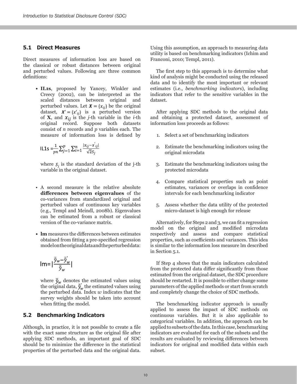#### **5.1 Direct Measures**

Direct measures of information loss are based on the classical or robust distances between original and perturbed values. Following are three common definitions:

> • **IL1s**, proposed by Yancey, Winkler and Creecy (2002), can be interpreted as the scaled distances between original and perturbed values. Let  $X = \{x_{ij}\}$  be the original dataset,  $X' = \{x'_{ij}\}\$ is a perturbed version of **X**, and  $x_{ij}$  is the *j*-th variable in the *i*-th original record. Suppose both datasets consist of *n* records and *p* variables each. The measure of information loss is defined by

$$
IL1s = \frac{1}{pn} \sum_{j=1}^{p} \sum_{i=1}^{n} \frac{|x_{ij} - x_{ij}|}{\sqrt{2s_j}}
$$

where  $S_j$  is the standard deviation of the j-th variable in the original dataset.

- A second measure is the relative absolute **differences between eigenvalues** of the co-variances from standardized original and perturbed values of continuous key variables (e.g., Templ and Meindl, 2008b). Eigenvalues can be estimated from a robust or classical version of the co-variance matrix.
- **lm** measures the differences between estimates obtained from fitting a pre-specified regression model on the original data and the perturbed data:

$$
Im = |\frac{\overline{\hat{y}}_w - \overline{\hat{y}}'_w}{\overline{\hat{y}}_w}|
$$

where  $\bar{\hat{\mathcal{Y}}}_{w}$  denotes the estimated values using the original data,  $\hat{y}_w$  the estimated values using the perturbed data. Index *w* indicates that the survey weights should be taken into account when fitting the model.

#### **5.2 Benchmarking Indicators**

Although, in practice, it is not possible to create a file with the exact same structure as the original file after applying SDC methods, an important goal of SDC should be to minimize the difference in the statistical properties of the perturbed data and the original data.

Using this assumption, an approach to measuring data utility is based on benchmarking indicators (Ichim and Franconi, 2010; Templ, 2011).

The first step to this approach is to determine what kind of analysis might be conducted using the released data and to identify the most important or relevant estimates (i.e., *benchmarking indicators*), including indicators that refer to the sensitive variables in the dataset.

After applying SDC methods to the original data and obtaining a protected dataset, assessment of information loss proceeds as follows:

- 1. Select a set of benchmarking indicators
- 2. Estimate the benchmarking indicators using the original microdata
- 3. Estimate the benchmarking indicators using the protected microdata
- 4. Compare statistical properties such as point estimates, variances or overlaps in confidence intervals for each benchmarking indicator
- 5. Assess whether the data utility of the protected micro-dataset is high enough for release

Alternatively, for Steps 2 and 3, we can fit a regression model on the original and modified microdata respectively and assess and compare statistical properties, such as coefficients and variances. This idea is similar to the information loss measure lm described in Section 5.1.

If Step 4 shows that the main indicators calculated from the protected data differ significantly from those estimated from the original dataset, the SDC procedure should be restarted. It is possible to either change some parameters of the applied methods or start from scratch and completely change the choice of SDC methods.

The benchmarking indicator approach is usually applied to assess the impact of SDC methods on continuous variables. But it is also applicable to categorical variables. In addition, the approach can be applied to subsets of the data. In this case, benchmarking indicators are evaluated for each of the subsets and the results are evaluated by reviewing differences between indicators for original and modified data within each subset.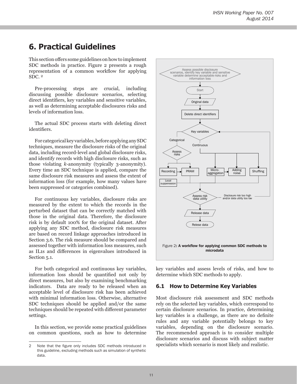# **6. Practical Guidelines**

This section offers some guidelines on how to implement SDC methods in practice. Figure 2 presents a rough representation of a common workflow for applying SDC. 2

Pre-processing steps are crucial, including discussing possible disclosure scenarios, selecting direct identifiers, key variables and sensitive variables, as well as determining acceptable disclosures risks and levels of information loss.

The actual SDC process starts with deleting direct identifiers.

For categorical key variables, before applying any SDC techniques, measure the disclosure risks of the original data, including record-level and global disclosure risks, and identify records with high disclosure risks, such as those violating *k*-anonymity (typically 3-anonymity). Every time an SDC technique is applied, compare the same disclosure risk measures and assess the extent of information loss (for example, how many values have been suppressed or categories combined).

For continuous key variables, disclosure risks are measured by the extent to which the records in the perturbed dataset that can be correctly matched with those in the original data. Therefore, the disclosure risk is by default 100% for the original dataset. After applying any SDC method, disclosure risk measures are based on record linkage approaches introduced in Section 3.6. The risk measure should be compared and assessed together with information loss measures, such as IL1s and differences in eigenvalues introduced in Section 5.1.

For both categorical and continuous key variables, information loss should be quantified not only by direct measures, but also by examining benchmarking indicators. Data are ready to be released when an acceptable level of disclosure risk has been achieved with minimal information loss. Otherwise, alternative SDC techniques should be applied and/or the same techniques should be repeated with different parameter settings.

In this section, we provide some practical guidelines on common questions, such as how to determine



key variables and assess levels of risks, and how to determine which SDC methods to apply.

#### **6.1 How to Determine Key Variables**

Most disclosure risk assessment and SDC methods rely on the selected key variables, which correspond to certain disclosure scenarios. In practice, determining key variables is a challenge, as there are no definite rules and any variable potentially belongs to key variables, depending on the disclosure scenario. The recommended approach is to consider multiple disclosure scenarios and discuss with subject matter specialists which scenario is most likely and realistic.

<sup>2</sup> Note that the figure only includes SDC methods introduced in this guideline, excluding methods such as simulation of synthetic data.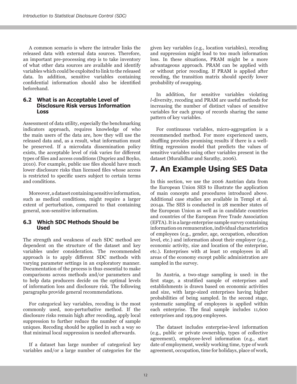A common scenario is where the intruder links the released data with external data sources. Therefore, an important pre-processing step is to take inventory of what other data sources are available and identify variables which could be exploited to link to the released data. In addition, sensitive variables containing confidential information should also be identified beforehand.

#### **6.2 What is an Acceptable Level of Disclosure Risk versus Information Loss**

Assessment of data utility, especially the benchmarking indicators approach, requires knowledge of who the main users of the data are, how they will use the released data and, as a result, what information must be preserved. If a microdata dissemination policy exists, the acceptable level of risk varies for different types of files and access conditions (Dupriez and Boyko, 2010). For example, public use files should have much lower disclosure risks than licensed files whose access is restricted to specific users subject to certain terms and conditions.

Moreover, a dataset containing sensitive information, such as medical conditions, might require a larger extent of perturbation, compared to that containing general, non-sensitive information.

#### **6.3 Which SDC Methods Should be Used**

The strength and weakness of each SDC method are dependent on the structure of the dataset and key variables under consideration. The recommended approach is to apply different SDC methods with varying parameter settings in an exploratory manner. Documentation of the process is thus essential to make comparisons across methods and/or parameters and to help data producers decide on the optimal levels of information loss and disclosure risk. The following paragraphs provide general recommendations.

For categorical key variables, recoding is the most commonly used, non-perturbative method. If the disclosure risks remain high after recoding, apply local suppression to further reduce the number of sample uniques. Recoding should be applied in such a way so that minimal local suppression is needed afterwards.

If a dataset has large number of categorical key variables and/or a large number of categories for the given key variables (e.g., location variables), recoding and suppression might lead to too much information loss. In these situations, PRAM might be a more advantageous approach. PRAM can be applied with or without prior recoding. If PRAM is applied after recoding, the transition matrix should specify lower probability of swapping.

In addition, for sensitive variables violating *l*-diversity, recoding and PRAM are useful methods for increasing the number of distinct values of sensitive variables for each group of records sharing the same pattern of key variables.

For continuous variables, micro-aggregation is a recommended method. For more experienced users, shuffling provides promising results if there is a wellfitting regression model that predicts the values of sensitive variables using other variables present in the dataset (Muralidhar and Sarathy, 2006).

### **7. An Example Using SES Data**

In this section, we use the 2006 Austrian data from the European Union SES to illustrate the application of main concepts and procedures introduced above. Additional case studies are available in Templ et al. 2014a. The SES is conducted in 28 member states of the European Union as well as in candidate countries and countries of the European Free Trade Association (EFTA). It is a large enterprise sample survey containing information on remuneration, individual characteristics of employees (e.g., gender, age, occupation, education level, etc.) and information about their employer (e.g., economic activity, size and location of the enterprise, etc.). Enterprises with at least 10 employees in all areas of the economy except public administration are sampled in the survey.

In Austria, a two-stage sampling is used: in the first stage, a stratified sample of enterprises and establishments is drawn based on economic activities and size, with large-sized enterprises having higher probabilities of being sampled. In the second stage, systematic sampling of employees is applied within each enterprise. The final sample includes 11,600 enterprises and 199,909 employees.

The dataset includes enterprise-level information (e.g., public or private ownership, types of collective agreement), employee-level information (e.g., start date of employment, weekly working time, type of work agreement, occupation, time for holidays, place of work,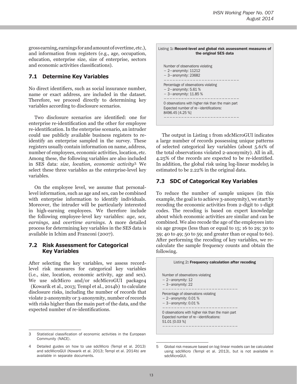gross earning, earnings for and amount of overtime, etc.), and information from registers (e.g., age, occupation, education, enterprise size, size of enterprise, sectors and economic activities classifications).

#### **7.1 Determine Key Variables**

No direct identifiers, such as social insurance number, name or exact address, are included in the dataset. Therefore, we proceed directly to determining key variables according to disclosure scenarios.

Two disclosure scenarios are identified: one for enterprise re-identification and the other for employee re-identification. In the enterprise scenario, an intruder could use publicly available business registers to reidentify an enterprise sampled in the survey. These registers usually contain information on name, address, number of employees, economic activities, location, etc. Among these, the following variables are also included in SES data: *size*, *location*, *economic activity3*. We select these three variables as the enterprise-level key variables.

On the employee level, we assume that personallevel information, such as age and sex, can be combined with enterprise information to identify individuals. Moreover, the intruder will be particularly interested in high-earning employees. We therefore include the following employee-level key variables: *age*, *sex*, *earnings*, and *overtime earnings*. A more detailed process for determining key variables in the SES data is available in Ichim and Franconi (2007).

#### **7.2 Risk Assessment for Categorical Key Variables**

After selecting the key variables, we assess recordlevel risk measures for categorical key variables (i.e., size, location, economic activity, age and sex). We use sdcMicro and/or sdcMicroGUI package4 (Kowarik et al., 2013; Templ et al., 2014b) to calculate

disclosure risks, including the number of records that violate 2-anonymity or 3-anonymity, number of records with risks higher than the main part of the data, and the expected number of re-identifications.



The output in Listing 1 from sdcMicroGUI indicates a large number of records possessing unique patterns of selected categorical key variables (about 5.61% of the total observations violated 2-anonymity). All in all, 4.25% of the records are expected to be re-identified. In addition, the global risk using log-linear models5 is estimated to be 2.22% in the original data.

#### **7.3 SDC of Categorical Key Variables**

To reduce the number of sample uniques (in this example, the goal is to achieve 3-anonymity), we start by recoding the economic activities from 2-digit to 1-digit codes. The recoding is based on expert knowledge about which economic activities are similar and can be combined. We also recode the age of the employees into six age groups (less than or equal to 15; 16 to 29; 30 to 39; 40 to 49; 50 to 59; and greater than or equal to 60). After performing the recoding of key variables, we recalculate the sample frequency counts and obtain the following.



<sup>5</sup> Global risk measure based on log-linear models can be calculated using sdcMicro (Templ et al. 2013), but is not available in sdcMicroGUI.

<sup>3</sup> Statistical classification of economic activities in the European Community (NACE).

<sup>4</sup> Detailed guides on how to use sdcMicro (Templ et al. 2013) and sdcMicroGUI (Kowarik et al. 2013; Templ et al. 2014b) are available in separate documents.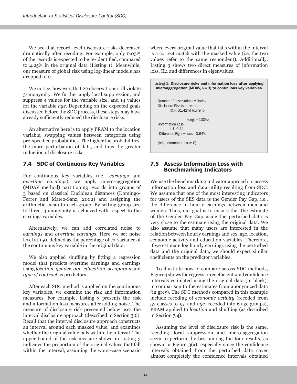We see that record-level disclosure risks decreased dramatically after recoding. For example, only 0.03% of the records is expected to be re-identified, compared to 4.25% in the original data (Listing 1). Meanwhile, our measure of global risk using log-linear models has dropped to 0.

We notice, however, that 22 observations still violate 3-anonymity. We further apply local suppression, and suppress 4 values for the variable *size*, and 14 values for the variable *age*. Depending on the expected goals discussed before the SDC process, these steps may have already sufficiently reduced the disclosure risks.

An alternative here is to apply PRAM to the location variable, swapping values between categories using pre-specified probabilities. The higher the probabilities, the more perturbation of data, and thus the greater reduction of disclosure risks.

#### **7.4 SDC of Continuous Key Variables**

For continuous key variables (i.e., *earnings* and *overtime earnings*), we apply micro-aggregation (MDAV method) partitioning records into groups of 3 based on classical Euclidean distances (Domingo-Ferrer and Mateo-Sanz, 2002) and assigning the arithmetic mean to each group. By setting group size to three, 3-anonymity is achieved with respect to the earnings variables.

Alternatively, we can add correlated noise to *earnings* and *overtime earnings*. Here we set noise level at 150, defined as the percentage of co-variance of the continuous key variable in the original data.

We also applied shuffling by fitting a regression model that predicts overtime earnings and earnings using *location*, *gender*, *age*, *education*, *occupation* and *type of contract* as predictors.

After each SDC method is applied on the continuous key variables, we examine the risk and information measures. For example, Listing 3 presents the risk and information loss measures after adding noise. The measure of disclosure risk presented below uses the interval disclosure approach (described in Section 3.6). Recall that the interval disclosure approach constructs an interval around each masked value, and examines whether the original value falls within the interval. The upper bound of the risk measure shown in Listing 3 indicates the proportion of the original values that fall within the interval, assuming the worst-case scenario where every original value that falls within the interval is a correct match with the masked value (i.e. the two values refer to the same respondent). Additionally, Listing 3 shows two direct measures of information loss, IL1 and differences in eigenvalues.

Listing 3: Disclosure risks and information loss after applying microaggregation (MDAV, k=3) to continuous key variables Number of observations violating Disclosure Risk is between: [0%; 61.42%] (current) (orig: ~100%) -Information Loss:  $II$  1: 0.11 -Difference Eigenvalues: -0.64% (orig: Information Loss: 0)

#### **7.5 Assess Information Loss with Benchmarking Indicators**

We use the benchmarking indicator approach to assess information loss and data utility resulting from SDC. We assume that one of the most interesting indicators for users of the SES data is the Gender Pay Gap, i.e., the difference in hourly earnings between men and women. Thus, our goal is to ensure that the estimate of the Gender Pay Gap using the perturbed data is very close to the estimate using the original data. We also assume that many users are interested in the relation between hourly earnings and sex, age, location, economic activity and education variables. Therefore, if we estimate log hourly earnings using the perturbed data and the original data, we should expect similar coefficients on the predictor variables.

To illustrate how to compare across SDC methods, Figure 3 shows the regression coefficients and confidence intervals estimated using the original data (in black), in comparison to the estimates from anonymized data (in grey). The SDC methods compared in this example include recoding of *economic activity* (recoded from 52 classes to 15) and *age* (recoded into 6 age groups), PRAM applied to *location* and shuffling (as described in Section 7.4).

Assuming the level of disclosure risk is the same, recoding, local suppression and micro-aggregation seem to perform the best among the four results, as shown in Figure 3(a), especially since the confidence intervals obtained from the perturbed data cover almost completely the confidence intervals obtained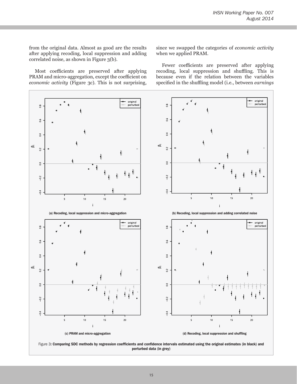from the original data. Almost as good are the results after applying recoding, local suppression and adding correlated noise, as shown in Figure 3(b).

Most coefficients are preserved after applying PRAM and micro-aggregation, except the coefficient on *economic activity* (Figure 3c). This is not surprising,

since we swapped the categories of *economic activity* when we applied PRAM.

Fewer coefficients are preserved after applying recoding, local suppression and shuffling. This is because even if the relation between the variables specified in the shuffling model (i.e., between *earnings*



perturbed data (in grey)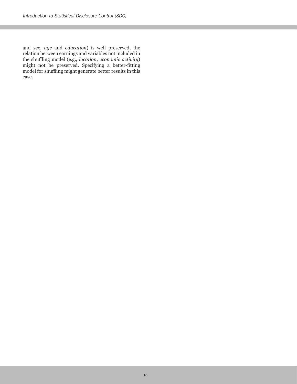and *sex*, *age* and *education*) is well preserved, the relation between earnings and variables not included in the shuffling model (e.g., *location*, *economic activity*) might not be preserved. Specifying a better-fitting model for shuffling might generate better results in this case.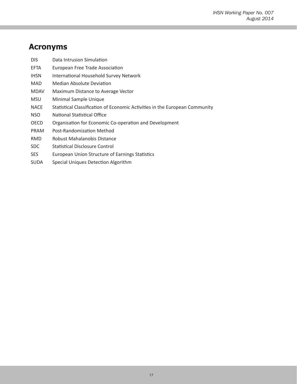# **Acronyms**

| <b>DIS</b>  | Data Intrusion Simulation                                                   |
|-------------|-----------------------------------------------------------------------------|
| EFTA        | European Free Trade Association                                             |
| <b>IHSN</b> | International Household Survey Network                                      |
| MAD         | Median Absolute Deviation                                                   |
| <b>MDAV</b> | Maximum Distance to Average Vector                                          |
| <b>MSU</b>  | Minimal Sample Unique                                                       |
| <b>NACE</b> | Statistical Classification of Economic Activities in the European Community |
| <b>NSO</b>  | National Statistical Office                                                 |
| OECD        | Organisation for Economic Co-operation and Development                      |
| <b>PRAM</b> | Post-Randomization Method                                                   |
| <b>RMD</b>  | Robust Mahalanobis Distance                                                 |
| SDC.        | <b>Statistical Disclosure Control</b>                                       |
| <b>SES</b>  | European Union Structure of Earnings Statistics                             |

SUDA Special Uniques Detection Algorithm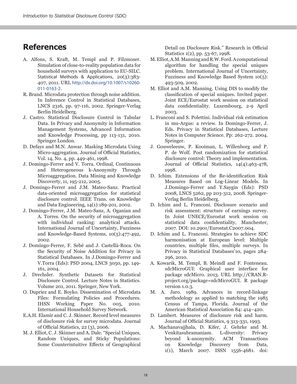### **References**

- A. Alfons, S. Kraft, M. Templ and P. Filzmoser. Simulation of close-to-reality population data for household surveys with application to EU-SILC. Statistical Methods & Applications, 20(3):383- 407, 2011. URL http://dx.doi.org/10.1007/s10260- 011-0163-2.
- R. Brand. Microdata protection through noise addition. In Inference Control in Statistical Databases, LNCS 2316, pp. 97-116, 2002. Springer-Verlag Berlin Heidelberg.
- J. Castro. Statistical Disclosure Control in Tabular Data. In Privacy and Anonymity in Information Management Systems, Advanced Information and Knowledge Processing, pp 113-131, 2010. Springer London.
- D. Defays and M.N. Anwar. Masking Microdata Using Micro-aggregation. Journal of Official Statistics, Vol. 14, No. 4, pp. 449-461, 1998.
- J. Domingo-Ferrer and V. Torra. Ordinal, Continuous and Heterogeneous k-Anonymity Through Microaggregation. Data Mining and Knowledge Discoverty, 11, 195-212, 2005.
- J. Domingo-Ferrer and J.M. Mateo-Sanz. Practical data-oriented microaggregation for statistical disclosure control. IEEE Trans. on Knowledge and Data Engineering, 14(1):189-201, 2002.
- J. Domingo-Ferrer, J.M. Mateo-Sanz, A. Oganian and A. Torres. On the security of microaggregation with individual ranking: analytical attacks. International Journal of Uncertainty, Fuzziness and Knowledge-Based Systems, 10(5):477-492, 2002.
- J. Domingo-Ferrer, F. Sebé and J. Castellà-Roca. On the Security of Noise Addition for Privacy in Statistical Databases. In J.Domingo-Ferrer and V.Torra (Eds): PSD 2004, LNCS 3050, pp. 149- 161, 2004.
- J. Drechsler. Synthetic Datasets for Statistical Disclosure Control. Lecture Notes in Statistics. Volume 201, 2011. Springer, New York.
- O. Dupriez and E. Boyko. Dissemination of Microdata Files: Formulating Policies and Procedures. IHSN Working Paper No. 005, 2010. International Household Survey Network.
- E.A.H. Elamir and C. J. Skinner. [Record level measures](http://eprints.lse.ac.uk/39103/) [of disclosure risk for survey microdata.](http://eprints.lse.ac.uk/39103/) Journal of Official Statistics, 22 (3), 2006.
- M. J. Elliot, C. J. Skinner and A. Dale. "Special Uniques, Random Uniques, and Sticky Populations: Some Counterintuitive Effects of Geographical

Detail on Disclosure Risk." Research in Official Statistics 1(2), pp. 53-67, 1998.

- M. Elliot, A.M. Manning and R.W. Ford. A computational algorithm for handling the special uniques problem. International Journal of Uncertainty, Fuzziness and Knowledge Based System 10(5): 493-509, 2002.
- M. Elliot and A.M. Manning. Using DIS to modify the classification of special uniques. Invited paper. Joint ECE/Eurostat work session on statistical data confidentiality. Luxembourg, 2-9 April 2003.
- L. Franconi and S. Polettini. Individual risk estimation in mu-Argus: a review. In Domingo-Ferrer, J. Eds. Privacy in Statistical Databases, Lecture Notes in Computer Science. Pp: 262-272. 2004. Springer.
- J. Gouweleeuw, P. Kooiman, L. Willenborg and P. P. de Wolf. Post randomization for statistical disclosure control: Theory and implementation. Journal of Official Statistics, 14(4):463-478, 1998.
- D. Ichim. Extensions of the Re-identification Risk Measures Based on Log-Linear Models. In J.Domingo-Ferrer and Y.Saygin (Eds): PSD 2008, LNCS 5262, pp 203-312, 2008. Springer-Verlag Berlin Heidelberg.
- D. Ichim and L. Franconi. Disclosure scenario and risk assessment: structure of earnings survey. In Joint UNECE/Eurostat work session on statistical data confidentiality, Manchester, 2007. DOI: 10.2901/Eurostat.C2007.004.
- D. Ichim and L. Franconi. Strategies to achieve SDC harmonisation at European level: Multiple countries, multiple files, multiple surveys. In Privacy in Statistical Databases'10, pages 284- 296, 2010.
- A. Kowarik, M. Templ, B. Meindl and F. Fonteneau. sdcMicroGUI: Graphical user interface for package sdcMicro. 2013. URL http://CRAN.Rproject.org/package=sdcMicroGUI. R package version 1.0.3.
- M. A. Jaro. 1989. Advances in record-linkage methodology as applied to matching the 1985 Census of Tampa, Florida. Journal of the American Statistical Association 84: 414–420.
- D. Lambert. Measures of disclosure risk and harm. Journal of Official Statistics, 9 313-331, 1993.
- A. Machanavajjhala, D. Kifer, J. Gehrke and M. Venkitasubramaniam. L-diversity: Privacy k-anonymity. ACM Transactions on Knowledge Discovery from Data, 1(1), March 2007. ISSN 1556-4681. doi: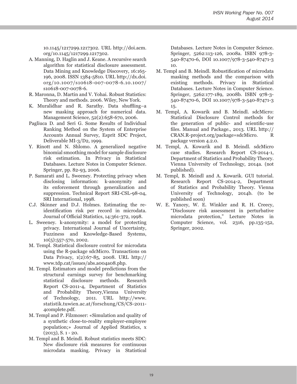10.1145/1217299.1217302. URL http://doi.acm. org/10.1145/1217299.1217302.

- A. Manning, D. Haglin and J. Keane. A recursive search algorithm for statistical disclosure assessment. Data Mining and Knowledge Discovery, 16:165- 196, 2008. ISSN 1384-5810. URL [http://dx.doi.](http://dx.doi.org/10.1007/s10618-007-0078-6.10.1007/s10618-007-0078-6) [org/10.1007/s10618-007-0078-6.10.1007/](http://dx.doi.org/10.1007/s10618-007-0078-6.10.1007/s10618-007-0078-6) [s10618-007-0078-6.](http://dx.doi.org/10.1007/s10618-007-0078-6.10.1007/s10618-007-0078-6)
- R. Maronna, D. Martin and V. Yohai. Robust Statistics: Theory and methods. 2006. Wiley, New York.
- K. Muralidhar and R. Sarathy. Data shuffling–a new masking approach for numerical data. Management Science, 52(2):658-670, 2006.
- Pagliuca D. and Seri G. Some Results of Individual Ranking Method on the System of Enterprise Accounts Annual Survey, Esprit SDC Project, Deliverable MI-3/D2, 1999.
- Y. Rinott and N. Shlomo. A generalized negative binomial smoothing model for sample disclosure risk estimation. In Privacy in Statistical Databases. Lecture Notes in Computer Science. Springer, pp. 82-93, 2006.
- P. Samarati and L. Sweeney. Protecting privacy when disclosing information: k-anonymity and its enforcement through generalization and suppression. Technical Report SRI-CSL-98-04, SRI International, 1998.
- C.J. Skinner and D.J. Holmes. Estimating the reidentification risk per record in microdata. Journal of Official Statistics, 14:361-372, 1998.
- L. Sweeney. k-anonymity: a model for protecting privacy. International Journal of Uncertainty, Fuzziness and Knowledge-Based Systems, 10(5):557-570, 2002.
- M. Templ. Statistical disclosure control for microdata using the R-package sdcMicro. Transactions on Data Privacy, 1(2):67-85, 2008. URL http:// www.tdp.cat/issues/abs.a004a08.php.
- M. Templ. Estimators and model predictions from the structural earnings survey for benchmarking statistical disclosure methods. Research Report CS-2011-4, Department of Statistics and Probability Theory,Vienna University of Technology, 2011. URL http://www. statistik.tuwien.ac.at/forschung/CS/CS-2011- 4complete.pdf.
- M. Templ and P. Filzmoser: «Simulation and quality of a synthetic close-to-reality employer-employee population;» Journal of Applied Statistics, x  $(2013)$ , S. 1 - 20.
- M. Templ and B. Meindl. Robust statistics meets SDC: New disclosure risk measures for continuous microdata masking. Privacy in Statistical

Databases. Lecture Notes in Computer Science. Springer, 5262:113-126, 2008a. ISBN 978-3- 540-87470-6, DOI 10.1007/978-3-540-87471-3 10.

- M. Templ and B. Meindl. Robustification of microdata masking methods and the comparison with existing methods. Privacy in Statistical Databases. Lecture Notes in Computer Science. Springer, 5262:177-189, 2008b. ISBN 978-3- 540-87470-6, DOI 10.1007/978-3-540-87471-3 15.
- M. Templ, A. Kowarik and B. Meindl. sdcMicro: Statistical Disclosure Control methods for the generation of public- and scientific-use files. Manual and Package., 2013. URL http:// CRAN.R-project.org/package=sdcMicro. R package version 4.2.0.
- M. Templ, A. Kowarik and B. Meindl. sdcMicro case studies. Research Report CS-2014-1, Department of Statistics and Probability Theory. Vienna University of Technology, 2014a. (not published).
- M. Templ, B. Meindl and A. Kowarik. GUI tutorial. Research Report CS-2014-2, Department of Statistics and Probability Theory. Vienna University of Technology, 2014b. (to be published soon)
- W. E. Yancey, W. E. Winkler and R. H. Creecy, "Disclosure risk assessment in perturbative microdata protection," Lecture Notes in Computer Science, vol. 2316, pp.135-152, Springer, 2002.